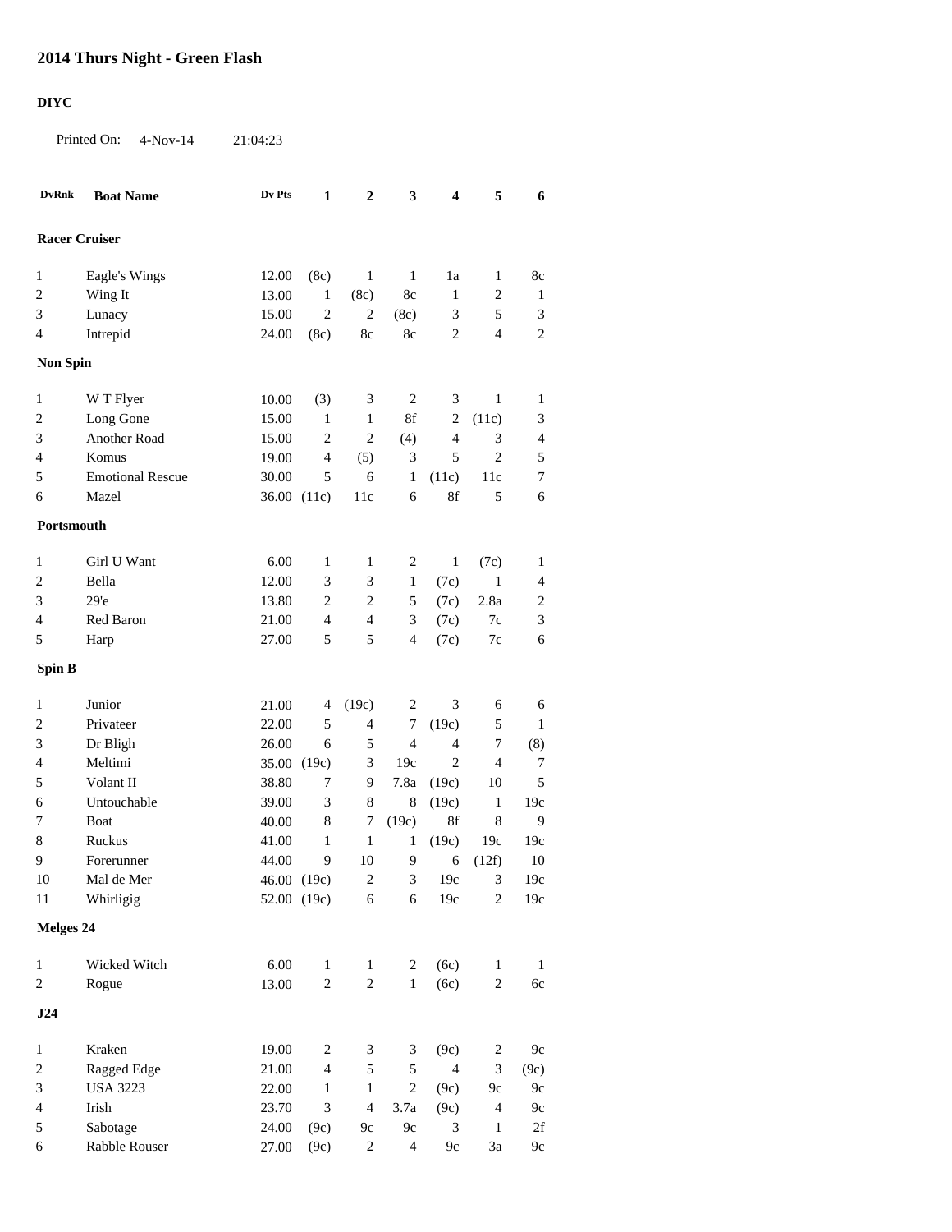## **2014 Thurs Night - Green Flash**

## **DIYC**

Printed On: 4-Nov-14 21:04:23

| <b>Racer Cruiser</b><br>8c<br>1<br>Eagle's Wings<br>12.00<br>(8c)<br>1<br>1<br>1a<br>1<br>2<br>Wing It<br>13.00<br>$\mathbf{1}$<br>8c<br>$\mathbf{1}$<br>$\overline{c}$<br>(8c)<br>1<br>$\overline{c}$<br>$\mathbf{2}$<br>3<br>Lunacy<br>15.00<br>(8c)<br>3<br>5<br>3<br>$\mathbf{2}$<br>$\mathbf{2}$<br>Intrepid<br>8c<br>8c<br>$\overline{4}$<br>4<br>24.00<br>(8c)<br><b>Non Spin</b><br>$\mathbf{1}$<br>W T Flyer<br>$\overline{2}$<br>$\mathbf{1}$<br>$\mathbf{1}$<br>10.00<br>(3)<br>3<br>3<br>Long Gone<br>15.00<br>8f<br>$\overline{c}$<br>$\mathbf{1}$<br>$\mathbf{1}$<br>$\boldsymbol{2}$<br>(11c)<br>3<br>Another Road<br>$\overline{c}$<br>3<br>15.00<br>$\overline{c}$<br>(4)<br>$\overline{4}$<br>3<br>$\overline{4}$<br>$\mathbf{2}$<br>Komus<br>19.00<br>$\overline{4}$<br>(5)<br>3<br>5<br>5<br>4<br><b>Emotional Rescue</b><br>6<br>$\tau$<br>30.00<br>5<br>1<br>11c<br>5<br>(11c)<br>8f<br>Mazel<br>36.00 (11c)<br>11c<br>6<br>5<br>6<br>6<br>Portsmouth<br>6.00<br>Girl U Want<br>$\mathbf{1}$<br>1<br>1<br>2<br>1<br>(7c)<br>1<br>2<br>Bella<br>12.00<br>3<br>3<br>$\mathbf{1}$<br>$\mathbf{1}$<br>(7c)<br>4<br>29'e<br>$\mathbf{2}$<br>13.80<br>$\overline{c}$<br>5<br>(7c)<br>2.8a<br>$\overline{c}$<br>3<br>$\ensuremath{\mathfrak{Z}}$<br>Red Baron<br>21.00<br>$\overline{4}$<br>$\overline{4}$<br>3<br>(7c)<br>7c<br>4<br>5<br>5<br>$\overline{4}$<br>(7c)<br>6<br>5<br>27.00<br>7c<br>Harp<br><b>Spin B</b><br>Junior<br>(19c)<br>3<br>1<br>21.00<br>2<br>6<br>6<br>4<br>$\sqrt{5}$<br>Privateer<br>22.00<br>5<br>4<br>7<br>(19c)<br>$\mathbf{1}$<br>2<br>$\overline{4}$<br>3<br>Dr Bligh<br>26.00<br>6<br>5<br>$\overline{4}$<br>7<br>(8)<br>Meltimi<br>$\mathbf{2}$<br>$\tau$<br>35.00 (19c)<br>3<br>19c<br>$\overline{4}$<br>4<br>Volant II<br>5<br>5<br>38.80<br>7<br>9<br>7.8a<br>(19c)<br>10<br>Untouchable<br>8<br>(19c)<br>39.00<br>3<br>8<br>$\mathbf{1}$<br>19c<br>6<br>8f<br>Boat<br>$\,8\,$<br>7<br>(19c)<br>$\,8\,$<br>9<br>7<br>40.00<br>Ruckus<br>41.00<br>$\mathbf{1}$<br>1<br>19c<br>1<br>(19c)<br>19c<br>Forerunner<br>44.00<br>9<br>10<br>9<br>6<br>(12f)<br>10<br>9<br>$\overline{2}$<br>$3$ 19c<br>Mal de Mer<br>46.00 (19c)<br>3<br>19c<br>10<br>Whirligig<br>52.00 (19c)<br>19c<br>$\overline{c}$<br>19c<br>11<br>6<br>6<br>Melges 24<br>$6.00\,$<br>$\mathbf{1}$<br>Wicked Witch<br>$\mathbf{1}$<br>(6c)<br>$\mathbf{1}$<br>2<br>$\mathbf{1}$<br>$\mathbf{1}$<br>$\sqrt{2}$<br>13.00<br>$\boldsymbol{2}$<br>$\mathbf 1$<br>(6c)<br>$\sqrt{2}$<br>6c<br>$\sqrt{2}$<br>Rogue<br>J24<br>Kraken<br>19.00<br>(9c)<br>$9c$<br>$\mathbf{1}$<br>$\boldsymbol{2}$<br>$\mathfrak{Z}$<br>3<br>$\overline{c}$<br>Ragged Edge<br>5<br>5<br>$\overline{4}$<br>$\sqrt{2}$<br>21.00<br>$\overline{4}$<br>3<br>(9c)<br><b>USA 3223</b><br>22.00<br>$\mathbf{1}$<br>3<br>$\mathbf{1}$<br>$\boldsymbol{2}$<br>(9c)<br>9c<br>$9c$<br>Irish<br>$\ensuremath{\mathfrak{Z}}$<br>$\overline{4}$<br>(9c)<br>$\overline{4}$<br>23.70<br>3.7a<br>$\overline{4}$<br>$9c$<br>$2\ensuremath{\mbox{f}}$<br>$\sqrt{5}$<br>Sabotage<br>$9c$<br>3<br>$\mathbf{1}$<br>24.00<br>(9c)<br>9c | <b>DvRnk</b> | <b>Boat Name</b> | Dv Pts | 1    | $\boldsymbol{2}$ | $\mathbf{3}$   | 4    | 5             | 6    |  |  |
|------------------------------------------------------------------------------------------------------------------------------------------------------------------------------------------------------------------------------------------------------------------------------------------------------------------------------------------------------------------------------------------------------------------------------------------------------------------------------------------------------------------------------------------------------------------------------------------------------------------------------------------------------------------------------------------------------------------------------------------------------------------------------------------------------------------------------------------------------------------------------------------------------------------------------------------------------------------------------------------------------------------------------------------------------------------------------------------------------------------------------------------------------------------------------------------------------------------------------------------------------------------------------------------------------------------------------------------------------------------------------------------------------------------------------------------------------------------------------------------------------------------------------------------------------------------------------------------------------------------------------------------------------------------------------------------------------------------------------------------------------------------------------------------------------------------------------------------------------------------------------------------------------------------------------------------------------------------------------------------------------------------------------------------------------------------------------------------------------------------------------------------------------------------------------------------------------------------------------------------------------------------------------------------------------------------------------------------------------------------------------------------------------------------------------------------------------------------------------------------------------------------------------------------------------------------------------------------------------------------------------------------------------------------------------------------------------------------------------------------------------------------------------------------------------------------------------------------------------------------------------------------------------------------------------------------------------------------------------------------------------------------------------------------------------------------------------------------------------------|--------------|------------------|--------|------|------------------|----------------|------|---------------|------|--|--|
|                                                                                                                                                                                                                                                                                                                                                                                                                                                                                                                                                                                                                                                                                                                                                                                                                                                                                                                                                                                                                                                                                                                                                                                                                                                                                                                                                                                                                                                                                                                                                                                                                                                                                                                                                                                                                                                                                                                                                                                                                                                                                                                                                                                                                                                                                                                                                                                                                                                                                                                                                                                                                                                                                                                                                                                                                                                                                                                                                                                                                                                                                                            |              |                  |        |      |                  |                |      |               |      |  |  |
| 8                                                                                                                                                                                                                                                                                                                                                                                                                                                                                                                                                                                                                                                                                                                                                                                                                                                                                                                                                                                                                                                                                                                                                                                                                                                                                                                                                                                                                                                                                                                                                                                                                                                                                                                                                                                                                                                                                                                                                                                                                                                                                                                                                                                                                                                                                                                                                                                                                                                                                                                                                                                                                                                                                                                                                                                                                                                                                                                                                                                                                                                                                                          |              |                  |        |      |                  |                |      |               |      |  |  |
|                                                                                                                                                                                                                                                                                                                                                                                                                                                                                                                                                                                                                                                                                                                                                                                                                                                                                                                                                                                                                                                                                                                                                                                                                                                                                                                                                                                                                                                                                                                                                                                                                                                                                                                                                                                                                                                                                                                                                                                                                                                                                                                                                                                                                                                                                                                                                                                                                                                                                                                                                                                                                                                                                                                                                                                                                                                                                                                                                                                                                                                                                                            |              |                  |        |      |                  |                |      |               |      |  |  |
|                                                                                                                                                                                                                                                                                                                                                                                                                                                                                                                                                                                                                                                                                                                                                                                                                                                                                                                                                                                                                                                                                                                                                                                                                                                                                                                                                                                                                                                                                                                                                                                                                                                                                                                                                                                                                                                                                                                                                                                                                                                                                                                                                                                                                                                                                                                                                                                                                                                                                                                                                                                                                                                                                                                                                                                                                                                                                                                                                                                                                                                                                                            |              |                  |        |      |                  |                |      |               |      |  |  |
|                                                                                                                                                                                                                                                                                                                                                                                                                                                                                                                                                                                                                                                                                                                                                                                                                                                                                                                                                                                                                                                                                                                                                                                                                                                                                                                                                                                                                                                                                                                                                                                                                                                                                                                                                                                                                                                                                                                                                                                                                                                                                                                                                                                                                                                                                                                                                                                                                                                                                                                                                                                                                                                                                                                                                                                                                                                                                                                                                                                                                                                                                                            |              |                  |        |      |                  |                |      |               |      |  |  |
|                                                                                                                                                                                                                                                                                                                                                                                                                                                                                                                                                                                                                                                                                                                                                                                                                                                                                                                                                                                                                                                                                                                                                                                                                                                                                                                                                                                                                                                                                                                                                                                                                                                                                                                                                                                                                                                                                                                                                                                                                                                                                                                                                                                                                                                                                                                                                                                                                                                                                                                                                                                                                                                                                                                                                                                                                                                                                                                                                                                                                                                                                                            |              |                  |        |      |                  |                |      |               |      |  |  |
|                                                                                                                                                                                                                                                                                                                                                                                                                                                                                                                                                                                                                                                                                                                                                                                                                                                                                                                                                                                                                                                                                                                                                                                                                                                                                                                                                                                                                                                                                                                                                                                                                                                                                                                                                                                                                                                                                                                                                                                                                                                                                                                                                                                                                                                                                                                                                                                                                                                                                                                                                                                                                                                                                                                                                                                                                                                                                                                                                                                                                                                                                                            |              |                  |        |      |                  |                |      |               |      |  |  |
|                                                                                                                                                                                                                                                                                                                                                                                                                                                                                                                                                                                                                                                                                                                                                                                                                                                                                                                                                                                                                                                                                                                                                                                                                                                                                                                                                                                                                                                                                                                                                                                                                                                                                                                                                                                                                                                                                                                                                                                                                                                                                                                                                                                                                                                                                                                                                                                                                                                                                                                                                                                                                                                                                                                                                                                                                                                                                                                                                                                                                                                                                                            |              |                  |        |      |                  |                |      |               |      |  |  |
|                                                                                                                                                                                                                                                                                                                                                                                                                                                                                                                                                                                                                                                                                                                                                                                                                                                                                                                                                                                                                                                                                                                                                                                                                                                                                                                                                                                                                                                                                                                                                                                                                                                                                                                                                                                                                                                                                                                                                                                                                                                                                                                                                                                                                                                                                                                                                                                                                                                                                                                                                                                                                                                                                                                                                                                                                                                                                                                                                                                                                                                                                                            |              |                  |        |      |                  |                |      |               |      |  |  |
|                                                                                                                                                                                                                                                                                                                                                                                                                                                                                                                                                                                                                                                                                                                                                                                                                                                                                                                                                                                                                                                                                                                                                                                                                                                                                                                                                                                                                                                                                                                                                                                                                                                                                                                                                                                                                                                                                                                                                                                                                                                                                                                                                                                                                                                                                                                                                                                                                                                                                                                                                                                                                                                                                                                                                                                                                                                                                                                                                                                                                                                                                                            |              |                  |        |      |                  |                |      |               |      |  |  |
|                                                                                                                                                                                                                                                                                                                                                                                                                                                                                                                                                                                                                                                                                                                                                                                                                                                                                                                                                                                                                                                                                                                                                                                                                                                                                                                                                                                                                                                                                                                                                                                                                                                                                                                                                                                                                                                                                                                                                                                                                                                                                                                                                                                                                                                                                                                                                                                                                                                                                                                                                                                                                                                                                                                                                                                                                                                                                                                                                                                                                                                                                                            |              |                  |        |      |                  |                |      |               |      |  |  |
|                                                                                                                                                                                                                                                                                                                                                                                                                                                                                                                                                                                                                                                                                                                                                                                                                                                                                                                                                                                                                                                                                                                                                                                                                                                                                                                                                                                                                                                                                                                                                                                                                                                                                                                                                                                                                                                                                                                                                                                                                                                                                                                                                                                                                                                                                                                                                                                                                                                                                                                                                                                                                                                                                                                                                                                                                                                                                                                                                                                                                                                                                                            |              |                  |        |      |                  |                |      |               |      |  |  |
|                                                                                                                                                                                                                                                                                                                                                                                                                                                                                                                                                                                                                                                                                                                                                                                                                                                                                                                                                                                                                                                                                                                                                                                                                                                                                                                                                                                                                                                                                                                                                                                                                                                                                                                                                                                                                                                                                                                                                                                                                                                                                                                                                                                                                                                                                                                                                                                                                                                                                                                                                                                                                                                                                                                                                                                                                                                                                                                                                                                                                                                                                                            |              |                  |        |      |                  |                |      |               |      |  |  |
|                                                                                                                                                                                                                                                                                                                                                                                                                                                                                                                                                                                                                                                                                                                                                                                                                                                                                                                                                                                                                                                                                                                                                                                                                                                                                                                                                                                                                                                                                                                                                                                                                                                                                                                                                                                                                                                                                                                                                                                                                                                                                                                                                                                                                                                                                                                                                                                                                                                                                                                                                                                                                                                                                                                                                                                                                                                                                                                                                                                                                                                                                                            |              |                  |        |      |                  |                |      |               |      |  |  |
|                                                                                                                                                                                                                                                                                                                                                                                                                                                                                                                                                                                                                                                                                                                                                                                                                                                                                                                                                                                                                                                                                                                                                                                                                                                                                                                                                                                                                                                                                                                                                                                                                                                                                                                                                                                                                                                                                                                                                                                                                                                                                                                                                                                                                                                                                                                                                                                                                                                                                                                                                                                                                                                                                                                                                                                                                                                                                                                                                                                                                                                                                                            |              |                  |        |      |                  |                |      |               |      |  |  |
|                                                                                                                                                                                                                                                                                                                                                                                                                                                                                                                                                                                                                                                                                                                                                                                                                                                                                                                                                                                                                                                                                                                                                                                                                                                                                                                                                                                                                                                                                                                                                                                                                                                                                                                                                                                                                                                                                                                                                                                                                                                                                                                                                                                                                                                                                                                                                                                                                                                                                                                                                                                                                                                                                                                                                                                                                                                                                                                                                                                                                                                                                                            |              |                  |        |      |                  |                |      |               |      |  |  |
|                                                                                                                                                                                                                                                                                                                                                                                                                                                                                                                                                                                                                                                                                                                                                                                                                                                                                                                                                                                                                                                                                                                                                                                                                                                                                                                                                                                                                                                                                                                                                                                                                                                                                                                                                                                                                                                                                                                                                                                                                                                                                                                                                                                                                                                                                                                                                                                                                                                                                                                                                                                                                                                                                                                                                                                                                                                                                                                                                                                                                                                                                                            |              |                  |        |      |                  |                |      |               |      |  |  |
|                                                                                                                                                                                                                                                                                                                                                                                                                                                                                                                                                                                                                                                                                                                                                                                                                                                                                                                                                                                                                                                                                                                                                                                                                                                                                                                                                                                                                                                                                                                                                                                                                                                                                                                                                                                                                                                                                                                                                                                                                                                                                                                                                                                                                                                                                                                                                                                                                                                                                                                                                                                                                                                                                                                                                                                                                                                                                                                                                                                                                                                                                                            |              |                  |        |      |                  |                |      |               |      |  |  |
|                                                                                                                                                                                                                                                                                                                                                                                                                                                                                                                                                                                                                                                                                                                                                                                                                                                                                                                                                                                                                                                                                                                                                                                                                                                                                                                                                                                                                                                                                                                                                                                                                                                                                                                                                                                                                                                                                                                                                                                                                                                                                                                                                                                                                                                                                                                                                                                                                                                                                                                                                                                                                                                                                                                                                                                                                                                                                                                                                                                                                                                                                                            |              |                  |        |      |                  |                |      |               |      |  |  |
|                                                                                                                                                                                                                                                                                                                                                                                                                                                                                                                                                                                                                                                                                                                                                                                                                                                                                                                                                                                                                                                                                                                                                                                                                                                                                                                                                                                                                                                                                                                                                                                                                                                                                                                                                                                                                                                                                                                                                                                                                                                                                                                                                                                                                                                                                                                                                                                                                                                                                                                                                                                                                                                                                                                                                                                                                                                                                                                                                                                                                                                                                                            |              |                  |        |      |                  |                |      |               |      |  |  |
|                                                                                                                                                                                                                                                                                                                                                                                                                                                                                                                                                                                                                                                                                                                                                                                                                                                                                                                                                                                                                                                                                                                                                                                                                                                                                                                                                                                                                                                                                                                                                                                                                                                                                                                                                                                                                                                                                                                                                                                                                                                                                                                                                                                                                                                                                                                                                                                                                                                                                                                                                                                                                                                                                                                                                                                                                                                                                                                                                                                                                                                                                                            |              |                  |        |      |                  |                |      |               |      |  |  |
|                                                                                                                                                                                                                                                                                                                                                                                                                                                                                                                                                                                                                                                                                                                                                                                                                                                                                                                                                                                                                                                                                                                                                                                                                                                                                                                                                                                                                                                                                                                                                                                                                                                                                                                                                                                                                                                                                                                                                                                                                                                                                                                                                                                                                                                                                                                                                                                                                                                                                                                                                                                                                                                                                                                                                                                                                                                                                                                                                                                                                                                                                                            |              |                  |        |      |                  |                |      |               |      |  |  |
|                                                                                                                                                                                                                                                                                                                                                                                                                                                                                                                                                                                                                                                                                                                                                                                                                                                                                                                                                                                                                                                                                                                                                                                                                                                                                                                                                                                                                                                                                                                                                                                                                                                                                                                                                                                                                                                                                                                                                                                                                                                                                                                                                                                                                                                                                                                                                                                                                                                                                                                                                                                                                                                                                                                                                                                                                                                                                                                                                                                                                                                                                                            |              |                  |        |      |                  |                |      |               |      |  |  |
|                                                                                                                                                                                                                                                                                                                                                                                                                                                                                                                                                                                                                                                                                                                                                                                                                                                                                                                                                                                                                                                                                                                                                                                                                                                                                                                                                                                                                                                                                                                                                                                                                                                                                                                                                                                                                                                                                                                                                                                                                                                                                                                                                                                                                                                                                                                                                                                                                                                                                                                                                                                                                                                                                                                                                                                                                                                                                                                                                                                                                                                                                                            |              |                  |        |      |                  |                |      |               |      |  |  |
|                                                                                                                                                                                                                                                                                                                                                                                                                                                                                                                                                                                                                                                                                                                                                                                                                                                                                                                                                                                                                                                                                                                                                                                                                                                                                                                                                                                                                                                                                                                                                                                                                                                                                                                                                                                                                                                                                                                                                                                                                                                                                                                                                                                                                                                                                                                                                                                                                                                                                                                                                                                                                                                                                                                                                                                                                                                                                                                                                                                                                                                                                                            |              |                  |        |      |                  |                |      |               |      |  |  |
|                                                                                                                                                                                                                                                                                                                                                                                                                                                                                                                                                                                                                                                                                                                                                                                                                                                                                                                                                                                                                                                                                                                                                                                                                                                                                                                                                                                                                                                                                                                                                                                                                                                                                                                                                                                                                                                                                                                                                                                                                                                                                                                                                                                                                                                                                                                                                                                                                                                                                                                                                                                                                                                                                                                                                                                                                                                                                                                                                                                                                                                                                                            |              |                  |        |      |                  |                |      |               |      |  |  |
|                                                                                                                                                                                                                                                                                                                                                                                                                                                                                                                                                                                                                                                                                                                                                                                                                                                                                                                                                                                                                                                                                                                                                                                                                                                                                                                                                                                                                                                                                                                                                                                                                                                                                                                                                                                                                                                                                                                                                                                                                                                                                                                                                                                                                                                                                                                                                                                                                                                                                                                                                                                                                                                                                                                                                                                                                                                                                                                                                                                                                                                                                                            |              |                  |        |      |                  |                |      |               |      |  |  |
|                                                                                                                                                                                                                                                                                                                                                                                                                                                                                                                                                                                                                                                                                                                                                                                                                                                                                                                                                                                                                                                                                                                                                                                                                                                                                                                                                                                                                                                                                                                                                                                                                                                                                                                                                                                                                                                                                                                                                                                                                                                                                                                                                                                                                                                                                                                                                                                                                                                                                                                                                                                                                                                                                                                                                                                                                                                                                                                                                                                                                                                                                                            |              |                  |        |      |                  |                |      |               |      |  |  |
|                                                                                                                                                                                                                                                                                                                                                                                                                                                                                                                                                                                                                                                                                                                                                                                                                                                                                                                                                                                                                                                                                                                                                                                                                                                                                                                                                                                                                                                                                                                                                                                                                                                                                                                                                                                                                                                                                                                                                                                                                                                                                                                                                                                                                                                                                                                                                                                                                                                                                                                                                                                                                                                                                                                                                                                                                                                                                                                                                                                                                                                                                                            |              |                  |        |      |                  |                |      |               |      |  |  |
|                                                                                                                                                                                                                                                                                                                                                                                                                                                                                                                                                                                                                                                                                                                                                                                                                                                                                                                                                                                                                                                                                                                                                                                                                                                                                                                                                                                                                                                                                                                                                                                                                                                                                                                                                                                                                                                                                                                                                                                                                                                                                                                                                                                                                                                                                                                                                                                                                                                                                                                                                                                                                                                                                                                                                                                                                                                                                                                                                                                                                                                                                                            |              |                  |        |      |                  |                |      |               |      |  |  |
|                                                                                                                                                                                                                                                                                                                                                                                                                                                                                                                                                                                                                                                                                                                                                                                                                                                                                                                                                                                                                                                                                                                                                                                                                                                                                                                                                                                                                                                                                                                                                                                                                                                                                                                                                                                                                                                                                                                                                                                                                                                                                                                                                                                                                                                                                                                                                                                                                                                                                                                                                                                                                                                                                                                                                                                                                                                                                                                                                                                                                                                                                                            |              |                  |        |      |                  |                |      |               |      |  |  |
|                                                                                                                                                                                                                                                                                                                                                                                                                                                                                                                                                                                                                                                                                                                                                                                                                                                                                                                                                                                                                                                                                                                                                                                                                                                                                                                                                                                                                                                                                                                                                                                                                                                                                                                                                                                                                                                                                                                                                                                                                                                                                                                                                                                                                                                                                                                                                                                                                                                                                                                                                                                                                                                                                                                                                                                                                                                                                                                                                                                                                                                                                                            |              |                  |        |      |                  |                |      |               |      |  |  |
|                                                                                                                                                                                                                                                                                                                                                                                                                                                                                                                                                                                                                                                                                                                                                                                                                                                                                                                                                                                                                                                                                                                                                                                                                                                                                                                                                                                                                                                                                                                                                                                                                                                                                                                                                                                                                                                                                                                                                                                                                                                                                                                                                                                                                                                                                                                                                                                                                                                                                                                                                                                                                                                                                                                                                                                                                                                                                                                                                                                                                                                                                                            |              |                  |        |      |                  |                |      |               |      |  |  |
|                                                                                                                                                                                                                                                                                                                                                                                                                                                                                                                                                                                                                                                                                                                                                                                                                                                                                                                                                                                                                                                                                                                                                                                                                                                                                                                                                                                                                                                                                                                                                                                                                                                                                                                                                                                                                                                                                                                                                                                                                                                                                                                                                                                                                                                                                                                                                                                                                                                                                                                                                                                                                                                                                                                                                                                                                                                                                                                                                                                                                                                                                                            |              |                  |        |      |                  |                |      |               |      |  |  |
|                                                                                                                                                                                                                                                                                                                                                                                                                                                                                                                                                                                                                                                                                                                                                                                                                                                                                                                                                                                                                                                                                                                                                                                                                                                                                                                                                                                                                                                                                                                                                                                                                                                                                                                                                                                                                                                                                                                                                                                                                                                                                                                                                                                                                                                                                                                                                                                                                                                                                                                                                                                                                                                                                                                                                                                                                                                                                                                                                                                                                                                                                                            |              |                  |        |      |                  |                |      |               |      |  |  |
|                                                                                                                                                                                                                                                                                                                                                                                                                                                                                                                                                                                                                                                                                                                                                                                                                                                                                                                                                                                                                                                                                                                                                                                                                                                                                                                                                                                                                                                                                                                                                                                                                                                                                                                                                                                                                                                                                                                                                                                                                                                                                                                                                                                                                                                                                                                                                                                                                                                                                                                                                                                                                                                                                                                                                                                                                                                                                                                                                                                                                                                                                                            |              |                  |        |      |                  |                |      |               |      |  |  |
|                                                                                                                                                                                                                                                                                                                                                                                                                                                                                                                                                                                                                                                                                                                                                                                                                                                                                                                                                                                                                                                                                                                                                                                                                                                                                                                                                                                                                                                                                                                                                                                                                                                                                                                                                                                                                                                                                                                                                                                                                                                                                                                                                                                                                                                                                                                                                                                                                                                                                                                                                                                                                                                                                                                                                                                                                                                                                                                                                                                                                                                                                                            |              |                  |        |      |                  |                |      |               |      |  |  |
|                                                                                                                                                                                                                                                                                                                                                                                                                                                                                                                                                                                                                                                                                                                                                                                                                                                                                                                                                                                                                                                                                                                                                                                                                                                                                                                                                                                                                                                                                                                                                                                                                                                                                                                                                                                                                                                                                                                                                                                                                                                                                                                                                                                                                                                                                                                                                                                                                                                                                                                                                                                                                                                                                                                                                                                                                                                                                                                                                                                                                                                                                                            |              |                  |        |      |                  |                |      |               |      |  |  |
|                                                                                                                                                                                                                                                                                                                                                                                                                                                                                                                                                                                                                                                                                                                                                                                                                                                                                                                                                                                                                                                                                                                                                                                                                                                                                                                                                                                                                                                                                                                                                                                                                                                                                                                                                                                                                                                                                                                                                                                                                                                                                                                                                                                                                                                                                                                                                                                                                                                                                                                                                                                                                                                                                                                                                                                                                                                                                                                                                                                                                                                                                                            |              |                  |        |      |                  |                |      |               |      |  |  |
|                                                                                                                                                                                                                                                                                                                                                                                                                                                                                                                                                                                                                                                                                                                                                                                                                                                                                                                                                                                                                                                                                                                                                                                                                                                                                                                                                                                                                                                                                                                                                                                                                                                                                                                                                                                                                                                                                                                                                                                                                                                                                                                                                                                                                                                                                                                                                                                                                                                                                                                                                                                                                                                                                                                                                                                                                                                                                                                                                                                                                                                                                                            |              |                  |        |      |                  |                |      |               |      |  |  |
|                                                                                                                                                                                                                                                                                                                                                                                                                                                                                                                                                                                                                                                                                                                                                                                                                                                                                                                                                                                                                                                                                                                                                                                                                                                                                                                                                                                                                                                                                                                                                                                                                                                                                                                                                                                                                                                                                                                                                                                                                                                                                                                                                                                                                                                                                                                                                                                                                                                                                                                                                                                                                                                                                                                                                                                                                                                                                                                                                                                                                                                                                                            | 6            | Rabble Rouser    | 27.00  | (9c) | $\sqrt{2}$       | $\overline{4}$ | $9c$ | $3\mathrm{a}$ | $9c$ |  |  |